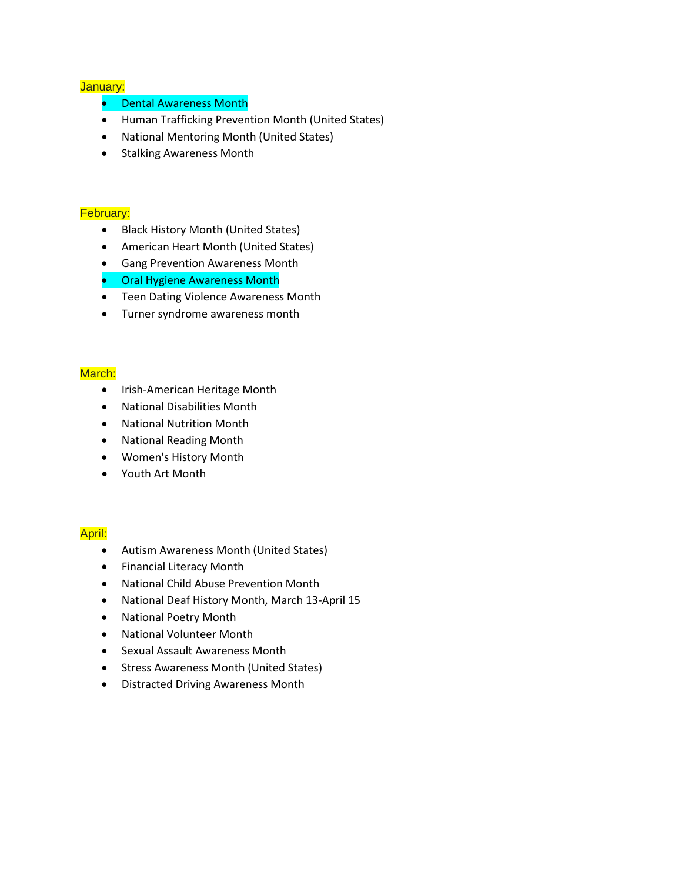# January:

- Dental Awareness Month
- [Human Trafficking Prevention Month](http://www.nctsn.org/resources/public-awareness/human-trafficking) (United States)
- [National Mentoring Month](https://en.wikipedia.org/wiki/National_Mentoring_Month) (United States)
- Stalking Awareness Month

#### February:

- [Black History Month \(United States\)](http://www.africanamericanhistorymonth.gov/)
- [American Heart Month](https://en.wikipedia.org/wiki/American_Heart_Month) (United States)
- [Gang Prevention Awareness Month](https://www.nationalgangcenter.gov/)
- Oral Hygiene Awareness Month
- Teen Dating Violence Awareness Month
- [Turner syndrome](https://en.wikipedia.org/wiki/Turner_syndrome) awareness month

### March:

- [Irish-American Heritage Month](https://en.wikipedia.org/wiki/Irish-American_Heritage_Month)
- National Disabilities Month
- National Nutrition Month
- National Reading Month
- [Women's History Month](https://en.wikipedia.org/wiki/Women%27s_History_Month)
- [Youth Art Month](https://en.wikipedia.org/wiki/Youth_Art_Month)

#### April:

- [Autism Awareness Month](https://www.autismspeaks.org/) (United States)
- [Financial Literacy Month](https://en.wikipedia.org/wiki/Financial_Literacy_Month)
- [National Child Abuse Prevention Month](https://en.wikipedia.org/wiki/National_Child_Abuse_Prevention_Month)
- [National Deaf History Month, March 13-April 15](https://en.wikipedia.org/w/index.php?title=National_Deaf_History_Month,_March_13-April_15&action=edit&redlink=1)
- [National Poetry Month](https://en.wikipedia.org/wiki/National_Poetry_Month)
- [National Volunteer Month](https://en.wikipedia.org/wiki/National_Volunteer_Month)
- [Sexual Assault Awareness Month](https://en.wikipedia.org/wiki/Sexual_Assault_Awareness_Month)
- [Stress Awareness Month](http://stressawarenessmonth.com/) (United States)
- Distracted Driving Awareness Month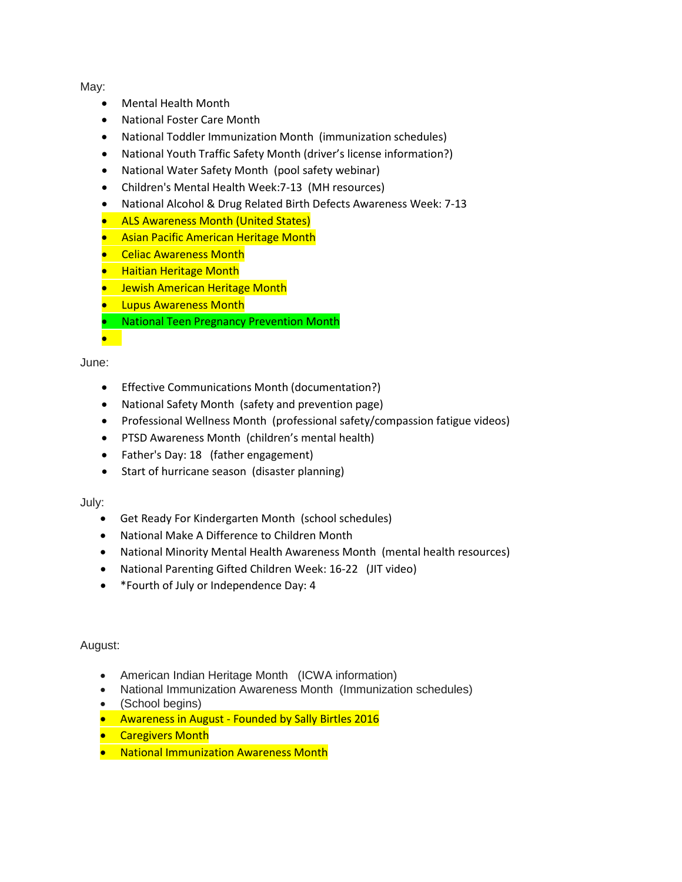May:

- Mental Health Month
- National Foster Care Month
- National Toddler Immunization Month (immunization schedules)
- National Youth Traffic Safety Month (driver's license information?)
- National Water Safety Month (pool safety webinar)
- Children's Mental Health Week:7-13 (MH resources)
- National Alcohol & Drug Related Birth Defects Awareness Week: 7-13
- [ALS Awareness Month](https://en.wikipedia.org/wiki/ALS_Awareness_Month) (United States)
- [Asian Pacific American Heritage Month](https://en.wikipedia.org/wiki/Asian_Pacific_American_Heritage_Month)
- [Celiac Awareness Month](https://en.wikipedia.org/wiki/Celiac_Awareness_Month)
- **[Haitian Heritage Month](https://en.wikipedia.org/wiki/Haitian_Heritage_Month)**
- **•** [Jewish American Heritage Month](https://en.wikipedia.org/wiki/Jewish_American_Heritage_Month)
- **Lupus Awareness Month**
- National Teen Pregnancy Prevention Month

June:

•

- Effective Communications Month (documentation?)
- National Safety Month (safety and prevention page)
- Professional Wellness Month (professional safety/compassion fatigue videos)
- PTSD Awareness Month (children's mental health)
- Father's Day: 18 (father engagement)
- Start of hurricane season (disaster planning)

July:

- Get Ready For Kindergarten Month (school schedules)
- National Make A Difference to Children Month
- National Minority Mental Health Awareness Month (mental health resources)
- National Parenting Gifted Children Week: 16-22 (JIT video)
- \*Fourth of July or Independence Day: 4

August:

- American Indian Heritage Month (ICWA information)
- National Immunization Awareness Month (Immunization schedules)
- (School begins)
- Awareness in August Founded by Sally Birtles 2016
- Caregivers Month
- National Immunization Awareness Month